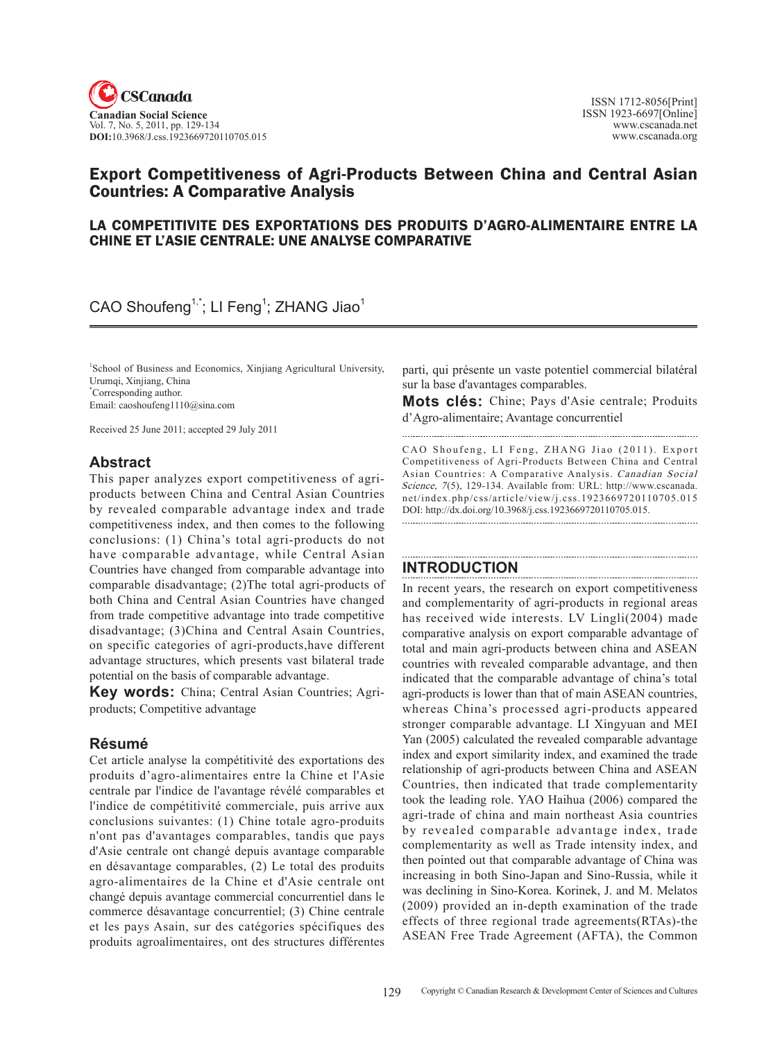

# Export competitiveness of Agri-products between China and Central Asian **Countries: A Comparative Analysis**

## LA COMPETITIVITE DES EXPORTATIONS DES PRODUITS D'AGRO-ALIMENTAIRE ENTRE LA CHINE ET L'ASIE CENTRALE: UNE ANALYSE COMPARATIVE

# $CAO$  Shoufeng<sup>1,\*</sup>; LI Feng<sup>1</sup>; ZHANG Jiao<sup>1</sup>

1 School of Business and Economics, Xinjiang Agricultural University, Urumqi, Xinjiang, China \* Corresponding author. Email: caoshoufeng1110@sina.com

Received 25 June 2011; accepted 29 July 2011

## **Abstract**

This paper analyzes export competitiveness of agriproducts between China and Central Asian Countries by revealed comparable advantage index and trade competitiveness index, and then comes to the following conclusions: (1) China's total agri-products do not have comparable advantage, while Central Asian Countries have changed from comparable advantage into comparable disadvantage; (2)The total agri-products of both China and Central Asian Countries have changed from trade competitive advantage into trade competitive disadvantage; (3)China and Central Asain Countries, on specific categories of agri-products,have different advantage structures, which presents vast bilateral trade potential on the basis of comparable advantage.

**Key words:** China; Central Asian Countries; Agriproducts; Competitive advantage

## **Résumé**

Cet article analyse la compétitivité des exportations des produits d'agro-alimentaires entre la Chine et l'Asie centrale par l'indice de l'avantage révélé comparables et l'indice de compétitivité commerciale, puis arrive aux conclusions suivantes: (1) Chine totale agro-produits n'ont pas d'avantages comparables, tandis que pays d'Asie centrale ont changé depuis avantage comparable en désavantage comparables, (2) Le total des produits agro-alimentaires de la Chine et d'Asie centrale ont changé depuis avantage commercial concurrentiel dans le commerce désavantage concurrentiel; (3) Chine centrale et les pays Asain, sur des catégories spécifiques des produits agroalimentaires, ont des structures différentes parti, qui présente un vaste potentiel commercial bilatéral sur la base d'avantages comparables.

**Mots clés:** Chine; Pays d'Asie centrale; Produits d'Agro-alimentaire; Avantage concurrentiel

CAO Shoufeng, LI Feng, ZHANG Jiao (2011). Export competitiveness of Agri-products between China and Central Asian Countries: A Comparative Analysis. Canadian Social Science, 7(5), 129-134. Available from: URL: http://www.cscanada. net/index.php/css/article/view/j.css.1923669720110705.015 DOI: http://dx.doi.org/10.3968/j.css.1923669720110705.015. 

## **INTRODUCTION**

In recent years, the research on export competitiveness and complementarity of agri-products in regional areas has received wide interests. LV Lingli(2004) made comparative analysis on export comparable advantage of total and main agri-products between china and ASEAN countries with revealed comparable advantage, and then indicated that the comparable advantage of china's total agri-products is lower than that of main ASEAN countries, whereas China's processed agri-products appeared stronger comparable advantage. LI Xingyuan and MEI Yan (2005) calculated the revealed comparable advantage index and export similarity index, and examined the trade relationship of agri-products between China and ASEAN Countries, then indicated that trade complementarity took the leading role. YAO Haihua (2006) compared the agri-trade of china and main northeast Asia countries by revealed comparable advantage index, trade complementarity as well as Trade intensity index, and then pointed out that comparable advantage of China was increasing in both Sino-Japan and Sino-Russia, while it was declining in Sino-Korea. Korinek, J. and M. Melatos (2009) provided an in-depth examination of the trade effects of three regional trade agreements(RTAs)-the ASEAN Free Trade Agreement (AFTA), the Common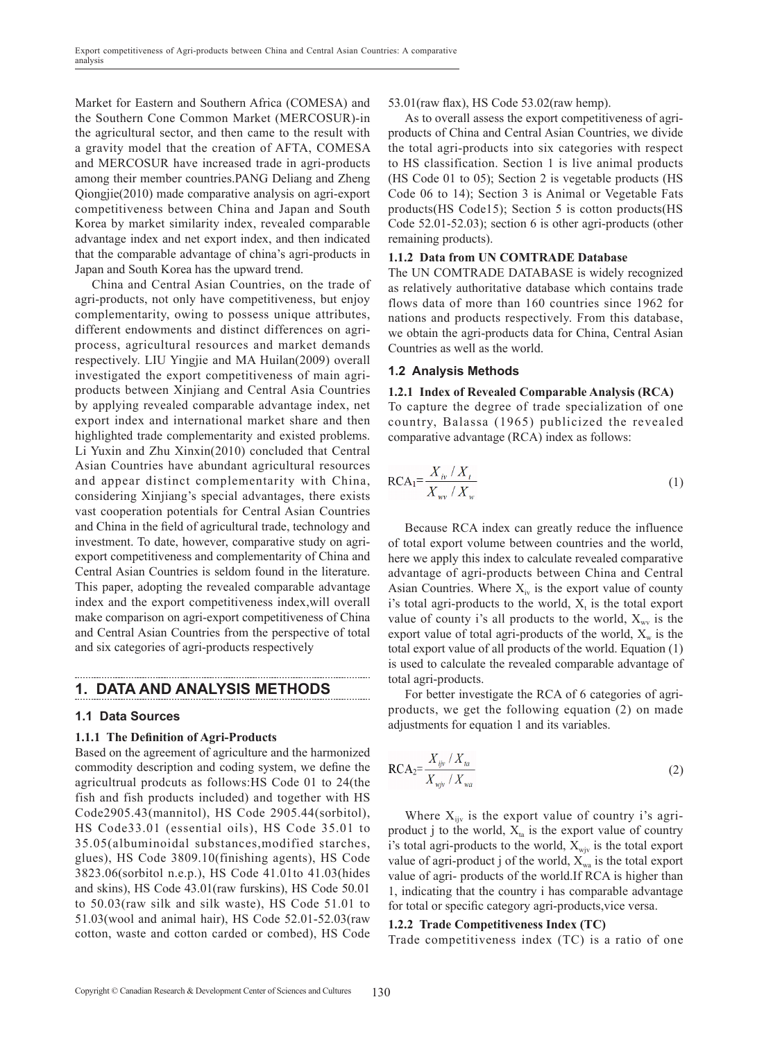Market for Eastern and Southern Africa (COMESA) and the Southern Cone Common Market (MERCOSUR)-in the agricultural sector, and then came to the result with a gravity model that the creation of AFTA, COMESA and MERCOSUR have increased trade in agri-products among their member countries.PANG Deliang and Zheng Qiongjie(2010) made comparative analysis on agri-export competitiveness between China and Japan and South Korea by market similarity index, revealed comparable advantage index and net export index, and then indicated that the comparable advantage of china's agri-products in Japan and South Korea has the upward trend.

China and Central Asian Countries, on the trade of agri-products, not only have competitiveness, but enjoy complementarity, owing to possess unique attributes, different endowments and distinct differences on agriprocess, agricultural resources and market demands respectively. LIU Yingjie and MA Huilan(2009) overall investigated the export competitiveness of main agriproducts between Xinjiang and Central Asia Countries by applying revealed comparable advantage index, net export index and international market share and then highlighted trade complementarity and existed problems. Li Yuxin and Zhu Xinxin(2010) concluded that Central Asian Countries have abundant agricultural resources and appear distinct complementarity with China, considering Xinjiang's special advantages, there exists vast cooperation potentials for Central Asian Countries and China in the field of agricultural trade, technology and investment. To date, however, comparative study on agriexport competitiveness and complementarity of China and Central Asian Countries is seldom found in the literature. This paper, adopting the revealed comparable advantage index and the export competitiveness index,will overall make comparison on agri-export competitiveness of China and Central Asian Countries from the perspective of total and six categories of agri-products respectively

## **1. Data and Analysis methods**

## **1.1 Data sources**

## **1.1.1 The Definition of Agri-Products**

Based on the agreement of agriculture and the harmonized commodity description and coding system, we define the agricultrual prodcuts as follows:HS Code 01 to 24(the fish and fish products included) and together with HS Code2905.43(mannitol), HS Code 2905.44(sorbitol), HS Code33.01 (essential oils), HS Code 35.01 to 35.05(albuminoidal substances,modified starches, glues), HS Code 3809.10(finishing agents), HS Code 3823.06(sorbitol n.e.p.), HS Code 41.01to 41.03(hides and skins), HS Code 43.01(raw furskins), HS Code 50.01 to 50.03(raw silk and silk waste), HS Code 51.01 to 51.03(wool and animal hair), HS Code 52.01-52.03(raw cotton, waste and cotton carded or combed), HS Code

#### 53.01(raw flax), HS Code 53.02(raw hemp).

As to overall assess the export competitiveness of agriproducts of China and Central Asian Countries, we divide the total agri-products into six categories with respect to HS classification. Section 1 is live animal products (HS Code 01 to 05); Section 2 is vegetable products (HS Code 06 to 14); Section 3 is Animal or Vegetable Fats products(HS Code15); Section 5 is cotton products(HS Code 52.01-52.03); section 6 is other agri-products (other remaining products).

#### **1.1.2 Data from UN COMTRADE Database**

The UN COMTRADE DATABASE is widely recognized as relatively authoritative database which contains trade flows data of more than 160 countries since 1962 for nations and products respectively. From this database, we obtain the agri-products data for China, Central Asian Countries as well as the world.

## **1.2 Analysis methods**

. . . . . . . .

#### **1.2.1 Index of Revealed Comparable Analysis (RCA)**

To capture the degree of trade specialization of one country, Balassa (1965) publicized the revealed comparative advantage (RCA) index as follows:

$$
RCA_1 = \frac{X_{iv} / X_t}{X_{wv} / X_w}
$$
 (1)

Because RCA index can greatly reduce the influence of total export volume between countries and the world, here we apply this index to calculate revealed comparative advantage of agri-products between China and Central Asian Countries. Where  $X_{i\nu}$  is the export value of county i's total agri-products to the world,  $X_t$  is the total export value of county i's all products to the world,  $X_{\text{wv}}$  is the export value of total agri-products of the world,  $X_w$  is the total export value of all products of the world. Equation (1) is used to calculate the revealed comparable advantage of total agri-products.

For better investigate the RCA of 6 categories of agriproducts, we get the following equation (2) on made adjustments for equation 1 and its variables.

$$
RCA2=\frac{X_{ijv}/X_{ta}}{X_{wjv}/X_{wa}}
$$
 (2)

Where  $X_{ijy}$  is the export value of country i's agriproduct j to the world,  $X<sub>ta</sub>$  is the export value of country i's total agri-products to the world,  $X_{\text{wjy}}$  is the total export value of agri-product j of the world,  $X_{wa}$  is the total export value of agri- products of the world.If RCA is higher than 1, indicating that the country i has comparable advantage for total or specific category agri-products,vice versa.

#### **1.2.2 Trade competitiveness Index (TC)**

Trade competitiveness index (TC) is a ratio of one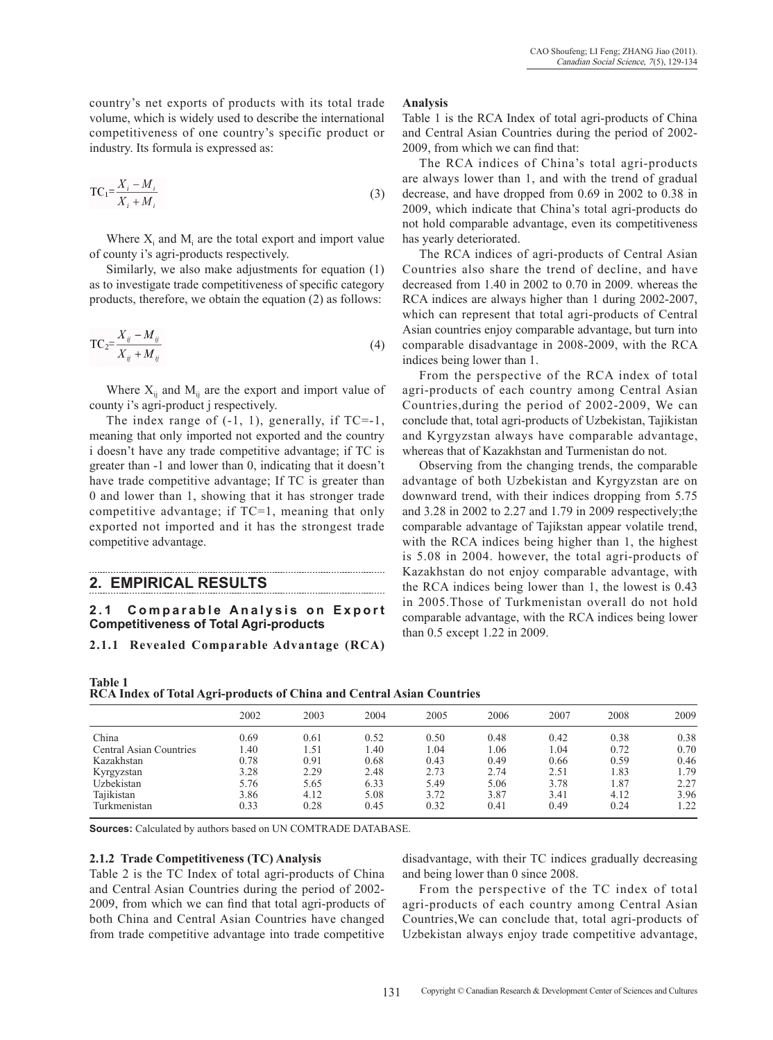country's net exports of products with its total trade volume, which is widely used to describe the international competitiveness of one country's specific product or industry. Its formula is expressed as:

$$
TC_1 = \frac{X_i - M_i}{X_i + M_i}
$$
\n<sup>(3)</sup>

Where  $X_i$  and  $M_i$  are the total export and import value of county i's agri-products respectively.

Similarly, we also make adjustments for equation (1) as to investigate trade competitiveness of specific category products, therefore, we obtain the equation (2) as follows:

$$
TC_2 = \frac{X_{ij} - M_{ij}}{X_{ij} + M_{ij}}\tag{4}
$$

Where  $X_{ii}$  and  $M_{ii}$  are the export and import value of county i's agri-product j respectively.

The index range of  $(-1, 1)$ , generally, if TC=-1, meaning that only imported not exported and the country i doesn't have any trade competitive advantage; if TC is greater than -1 and lower than 0, indicating that it doesn't have trade competitive advantage; If TC is greater than 0 and lower than 1, showing that it has stronger trade competitive advantage; if TC=1, meaning that only exported not imported and it has the strongest trade competitive advantage.

## **2. Empirical results**

## 2.1 Comparable Analysis on Export **Competitiveness of Total Agri-products**

**2.1.1 Revealed Comparable Advantage (RCA)** 

#### **Analysis**

Table 1 is the RCA Index of total agri-products of China and Central Asian Countries during the period of 2002- 2009, from which we can find that:

The RCA indices of China's total agri-products are always lower than 1, and with the trend of gradual decrease, and have dropped from 0.69 in 2002 to 0.38 in 2009, which indicate that China's total agri-products do not hold comparable advantage, even its competitiveness has yearly deteriorated.

The RCA indices of agri-products of Central Asian Countries also share the trend of decline, and have decreased from 1.40 in 2002 to 0.70 in 2009. whereas the RCA indices are always higher than 1 during 2002-2007, which can represent that total agri-products of Central Asian countries enjoy comparable advantage, but turn into comparable disadvantage in 2008-2009, with the RCA indices being lower than 1.

From the perspective of the RCA index of total agri-products of each country among Central Asian Countries,during the period of 2002-2009, We can conclude that, total agri-products of Uzbekistan, Tajikistan and Kyrgyzstan always have comparable advantage, whereas that of Kazakhstan and Turmenistan do not.

Observing from the changing trends, the comparable advantage of both Uzbekistan and Kyrgyzstan are on downward trend, with their indices dropping from 5.75 and 3.28 in 2002 to 2.27 and 1.79 in 2009 respectively;the comparable advantage of Tajikstan appear volatile trend, with the RCA indices being higher than 1, the highest is 5.08 in 2004. however, the total agri-products of Kazakhstan do not enjoy comparable advantage, with the RCA indices being lower than 1, the lowest is 0.43 in 2005.Those of Turkmenistan overall do not hold comparable advantage, with the RCA indices being lower than 0.5 except 1.22 in 2009.

**Table 1 RCA Index of total Agri-products of China and Central Asian Countries**

|                         | 2002 | 2003 | 2004 | 2005 | 2006 | 2007 | 2008 | 2009 |
|-------------------------|------|------|------|------|------|------|------|------|
| China                   | 0.69 | 0.61 | 0.52 | 0.50 | 0.48 | 0.42 | 0.38 | 0.38 |
| Central Asian Countries | .40  | 51.ء | 1.40 | 1.04 | 1.06 | 1.04 | 0.72 | 0.70 |
| Kazakhstan              | 0.78 | 0.91 | 0.68 | 0.43 | 0.49 | 0.66 | 0.59 | 0.46 |
| Kyrgyzstan              | 3.28 | 2.29 | 2.48 | 2.73 | 2.74 | 2.51 | 1.83 | 1.79 |
| Uzbekistan              | 5.76 | 5.65 | 6.33 | 5.49 | 5.06 | 3.78 | 1.87 | 2.27 |
| Tajikistan              | 3.86 | 4.12 | 5.08 | 3.72 | 3.87 | 3.41 | 4.12 | 3.96 |
| Turkmenistan            | 0.33 | 0.28 | 0.45 | 0.32 | 0.41 | 0.49 | 0.24 | 1.22 |

**Sources:** Calculated by authors based on UN COMTRADE DATABASE.

#### **2.1.2 Trade competitiveness (TC) Analysis**

Table 2 is the TC Index of total agri-products of China and Central Asian Countries during the period of 2002- 2009, from which we can find that total agri-products of both China and Central Asian Countries have changed from trade competitive advantage into trade competitive

disadvantage, with their TC indices gradually decreasing and being lower than 0 since 2008.

From the perspective of the TC index of total agri-products of each country among Central Asian Countries,We can conclude that, total agri-products of Uzbekistan always enjoy trade competitive advantage,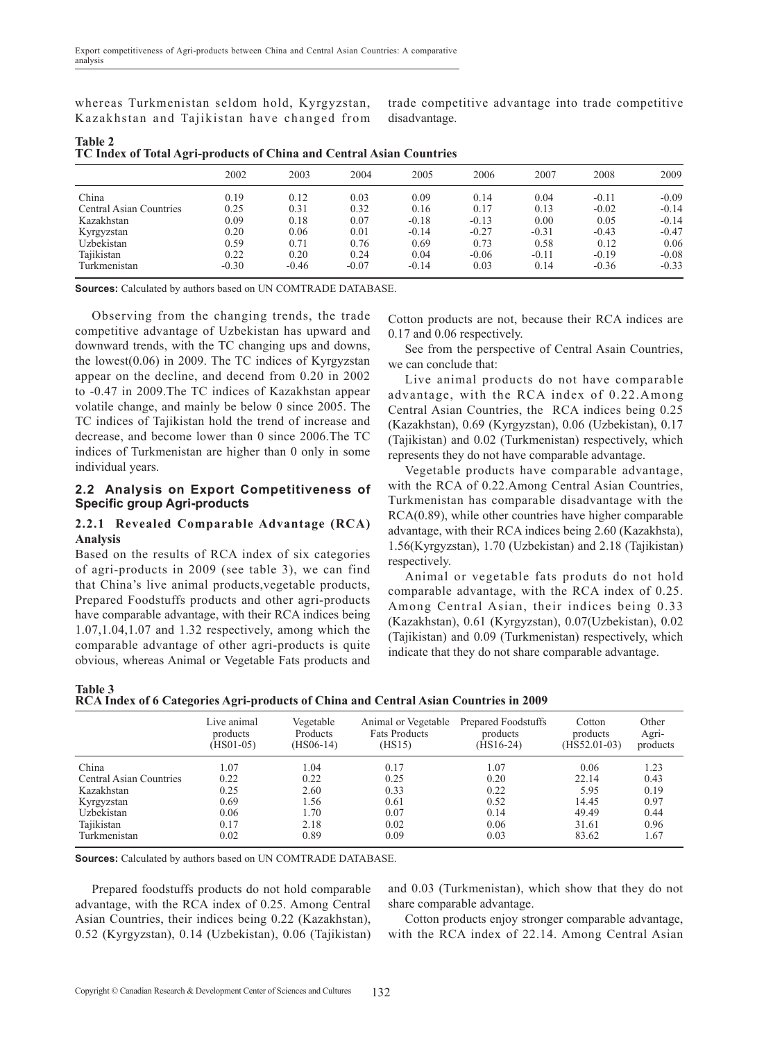whereas Turkmenistan seldom hold, Kyrgyzstan, Kazakhstan and Tajikistan have changed from trade competitive advantage into trade competitive disadvantage.

| <b>Table 2</b> |                                                                      |  |  |
|----------------|----------------------------------------------------------------------|--|--|
|                | TC Index of Total Agri-products of China and Central Asian Countries |  |  |

|                         | 2002    | 2003    | 2004    | 2005    | 2006    | 2007    | 2008    | 2009    |
|-------------------------|---------|---------|---------|---------|---------|---------|---------|---------|
| China                   | 0.19    | 0.12    | 0.03    | 0.09    | 0.14    | 0.04    | $-0.11$ | $-0.09$ |
| Central Asian Countries | 0.25    | 0.31    | 0.32    | 0.16    | 0.17    | 0.13    | $-0.02$ | $-0.14$ |
| Kazakhstan              | 0.09    | 0.18    | 0.07    | $-0.18$ | $-0.13$ | 0.00    | 0.05    | $-0.14$ |
| Kyrgyzstan              | 0.20    | 0.06    | 0.01    | $-0.14$ | $-0.27$ | $-0.31$ | $-0.43$ | $-0.47$ |
| Uzbekistan              | 0.59    | 0.71    | 0.76    | 0.69    | 0.73    | 0.58    | 0.12    | 0.06    |
| Tajikistan              | 0.22    | 0.20    | 0.24    | 0.04    | $-0.06$ | $-0.11$ | $-0.19$ | $-0.08$ |
| Turkmenistan            | $-0.30$ | $-0.46$ | $-0.07$ | $-0.14$ | 0.03    | 0.14    | $-0.36$ | $-0.33$ |

**Sources:** Calculated by authors based on UN COMTRADE DATABASE.

Observing from the changing trends, the trade competitive advantage of Uzbekistan has upward and downward trends, with the TC changing ups and downs, the lowest(0.06) in 2009. The TC indices of Kyrgyzstan appear on the decline, and decend from 0.20 in 2002 to -0.47 in 2009.The TC indices of Kazakhstan appear volatile change, and mainly be below 0 since 2005. The TC indices of Tajikistan hold the trend of increase and decrease, and become lower than 0 since 2006.The TC indices of Turkmenistan are higher than 0 only in some individual years.

## **2.2 Analysis on Export Competitiveness of Specific group Agri-products**

## **2.2.1 Revealed Comparable Advantage (RCA) Analysis**

Based on the results of RCA index of six categories of agri-products in 2009 (see table 3), we can find that China's live animal products,vegetable products, Prepared Foodstuffs products and other agri-products have comparable advantage, with their RCA indices being 1.07,1.04,1.07 and 1.32 respectively, among which the comparable advantage of other agri-products is quite obvious, whereas Animal or Vegetable Fats products and Cotton products are not, because their RCA indices are 0.17 and 0.06 respectively.

See from the perspective of Central Asain Countries, we can conclude that:

Live animal products do not have comparable advantage, with the RCA index of 0.22.Among Central Asian Countries, the RCA indices being 0.25 (Kazakhstan), 0.69 (Kyrgyzstan), 0.06 (Uzbekistan), 0.17 (Tajikistan) and 0.02 (Turkmenistan) respectively, which represents they do not have comparable advantage.

Vegetable products have comparable advantage, with the RCA of 0.22.Among Central Asian Countries, Turkmenistan has comparable disadvantage with the RCA(0.89), while other countries have higher comparable advantage, with their RCA indices being 2.60 (Kazakhsta), 1.56(Kyrgyzstan), 1.70 (Uzbekistan) and 2.18 (Tajikistan) respectively.

Animal or vegetable fats produts do not hold comparable advantage, with the RCA index of 0.25. Among Central Asian, their indices being 0.33 (Kazakhstan), 0.61 (Kyrgyzstan), 0.07(Uzbekistan), 0.02 (Tajikistan) and 0.09 (Turkmenistan) respectively, which indicate that they do not share comparable advantage.

| Table 3 |                                                                                      |  |  |
|---------|--------------------------------------------------------------------------------------|--|--|
|         | RCA Index of 6 Categories Agri-products of China and Central Asian Countries in 2009 |  |  |

|                         | Live animal | Vegetable       | Animal or Vegetable  | Prepared Foodstuffs | Cotton         | Other    |
|-------------------------|-------------|-----------------|----------------------|---------------------|----------------|----------|
|                         | products    | <b>Products</b> | <b>Fats Products</b> | products            | products       | Agri-    |
|                         | $(HSO1-05)$ | (HS06-14)       | (HS15)               | $(HS16-24)$         | $(HS52.01-03)$ | products |
| China                   | 1.07        | 1.04            | 0.17                 | 1.07                | 0.06           | 1.23     |
| Central Asian Countries | 0.22        | 0.22            | 0.25                 | 0.20                | 22.14          | 0.43     |
| Kazakhstan              | 0.25        | 2.60            | 0.33                 | 0.22                | 5.95           | 0.19     |
| Kyrgyzstan              | 0.69        | 1.56            | 0.61                 | 0.52                | 14.45          | 0.97     |
| Uzbekistan              | 0.06        | 1.70            | 0.07                 | 0.14                | 49.49          | 0.44     |
| Tajikistan              | 0.17        | 2.18            | 0.02                 | 0.06                | 31.61          | 0.96     |
| Turkmenistan            | 0.02        | 0.89            | 0.09                 | 0.03                | 83.62          | 1.67     |

**Sources:** Calculated by authors based on UN COMTRADE DATABASE.

Prepared foodstuffs products do not hold comparable advantage, with the RCA index of 0.25. Among Central Asian Countries, their indices being 0.22 (Kazakhstan), 0.52 (Kyrgyzstan), 0.14 (Uzbekistan), 0.06 (Tajikistan)

and 0.03 (Turkmenistan), which show that they do not share comparable advantage.

Cotton products enjoy stronger comparable advantage, with the RCA index of 22.14. Among Central Asian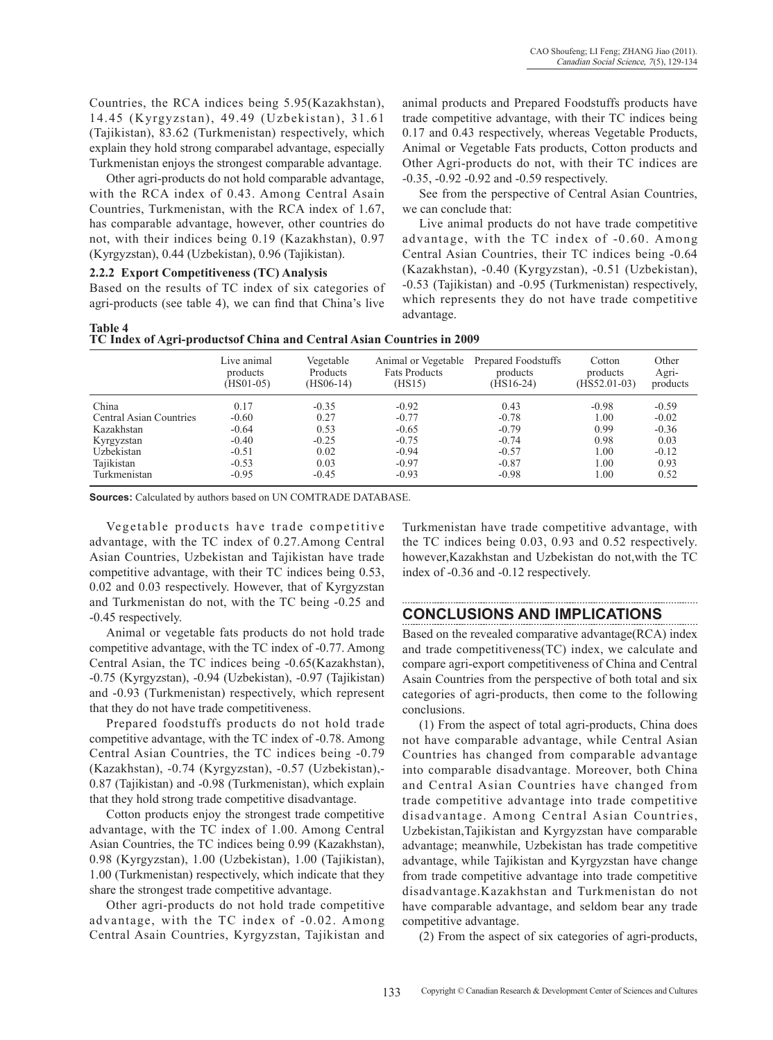Countries, the RCA indices being 5.95(Kazakhstan), 14.45 (Kyrgyzstan), 49.49 (Uzbekistan), 31.61 (Tajikistan), 83.62 (Turkmenistan) respectively, which explain they hold strong comparabel advantage, especially Turkmenistan enjoys the strongest comparable advantage.

Other agri-products do not hold comparable advantage, with the RCA index of 0.43. Among Central Asain Countries, Turkmenistan, with the RCA index of 1.67, has comparable advantage, however, other countries do not, with their indices being 0.19 (Kazakhstan), 0.97 (Kyrgyzstan), 0.44 (Uzbekistan), 0.96 (Tajikistan).

## **2.2.2 Export competitiveness (TC) Analysis**

**Table 4** 

Based on the results of TC index of six categories of agri-products (see table 4), we can find that China's live animal products and Prepared Foodstuffs products have trade competitive advantage, with their TC indices being 0.17 and 0.43 respectively, whereas Vegetable Products, Animal or Vegetable Fats products, Cotton products and Other Agri-products do not, with their TC indices are -0.35, -0.92 -0.92 and -0.59 respectively.

See from the perspective of Central Asian Countries, we can conclude that:

Live animal products do not have trade competitive advantage, with the TC index of -0.60. Among Central Asian Countries, their TC indices being -0.64 (Kazakhstan), -0.40 (Kyrgyzstan), -0.51 (Uzbekistan), -0.53 (Tajikistan) and -0.95 (Turkmenistan) respectively, which represents they do not have trade competitive advantage.

| таріе 4 |                                                                       |  |  |  |
|---------|-----------------------------------------------------------------------|--|--|--|
|         | TC Index of Agri-productsof China and Central Asian Countries in 2009 |  |  |  |

|                         | Live animal<br>products<br>$(HSO1-05)$ | Vegetable<br>Products<br>$(HS06-14)$ | Animal or Vegetable<br><b>Fats Products</b><br>(HS15) | Prepared Foodstuffs<br>products<br>$(HS16-24)$ | Cotton<br>products<br>$(HS52.01-03)$ | Other<br>Agri-<br>products |
|-------------------------|----------------------------------------|--------------------------------------|-------------------------------------------------------|------------------------------------------------|--------------------------------------|----------------------------|
| China                   | 0.17                                   | $-0.35$                              | $-0.92$                                               | 0.43                                           | $-0.98$                              | $-0.59$                    |
| Central Asian Countries | $-0.60$                                | 0.27                                 | $-0.77$                                               | $-0.78$                                        | 1.00                                 | $-0.02$                    |
| Kazakhstan              | $-0.64$                                | 0.53                                 | $-0.65$                                               | $-0.79$                                        | 0.99                                 | $-0.36$                    |
| Kyrgyzstan              | $-0.40$                                | $-0.25$                              | $-0.75$                                               | $-0.74$                                        | 0.98                                 | 0.03                       |
| Uzbekistan              | $-0.51$                                | 0.02                                 | $-0.94$                                               | $-0.57$                                        | 1.00                                 | $-0.12$                    |
| Tajikistan              | $-0.53$                                | 0.03                                 | $-0.97$                                               | $-0.87$                                        | 1.00                                 | 0.93                       |
| Turkmenistan            | $-0.95$                                | $-0.45$                              | $-0.93$                                               | $-0.98$                                        | 1.00                                 | 0.52                       |

**Sources:** Calculated by authors based on UN COMTRADE DATABASE.

Vegetable products have trade competitive advantage, with the TC index of 0.27.Among Central Asian Countries, Uzbekistan and Tajikistan have trade competitive advantage, with their TC indices being 0.53, 0.02 and 0.03 respectively. However, that of Kyrgyzstan and Turkmenistan do not, with the TC being -0.25 and -0.45 respectively.

Animal or vegetable fats products do not hold trade competitive advantage, with the TC index of -0.77. Among Central Asian, the TC indices being -0.65(Kazakhstan), -0.75 (Kyrgyzstan), -0.94 (Uzbekistan), -0.97 (Tajikistan) and -0.93 (Turkmenistan) respectively, which represent that they do not have trade competitiveness.

Prepared foodstuffs products do not hold trade competitive advantage, with the TC index of -0.78. Among Central Asian Countries, the TC indices being -0.79 (Kazakhstan), -0.74 (Kyrgyzstan), -0.57 (Uzbekistan),- 0.87 (Tajikistan) and -0.98 (Turkmenistan), which explain that they hold strong trade competitive disadvantage.

Cotton products enjoy the strongest trade competitive advantage, with the TC index of 1.00. Among Central Asian Countries, the TC indices being 0.99 (Kazakhstan), 0.98 (Kyrgyzstan), 1.00 (Uzbekistan), 1.00 (Tajikistan), 1.00 (Turkmenistan) respectively, which indicate that they share the strongest trade competitive advantage.

Other agri-products do not hold trade competitive advantage, with the TC index of -0.02. Among Central Asain Countries, Kyrgyzstan, Tajikistan and Turkmenistan have trade competitive advantage, with the TC indices being 0.03, 0.93 and 0.52 respectively. however,Kazakhstan and Uzbekistan do not,with the TC index of -0.36 and -0.12 respectively.

## **Conclusions and Implications**

Based on the revealed comparative advantage(RCA) index and trade competitiveness(TC) index, we calculate and compare agri-export competitiveness of China and Central Asain Countries from the perspective of both total and six categories of agri-products, then come to the following conclusions.

(1) From the aspect of total agri-products, China does not have comparable advantage, while Central Asian Countries has changed from comparable advantage into comparable disadvantage. moreover, both China and Central Asian Countries have changed from trade competitive advantage into trade competitive disadvantage. Among Central Asian Countries, Uzbekistan,Tajikistan and Kyrgyzstan have comparable advantage; meanwhile, Uzbekistan has trade competitive advantage, while Tajikistan and Kyrgyzstan have change from trade competitive advantage into trade competitive disadvantage.Kazakhstan and Turkmenistan do not have comparable advantage, and seldom bear any trade competitive advantage.

(2) From the aspect of six categories of agri-products,